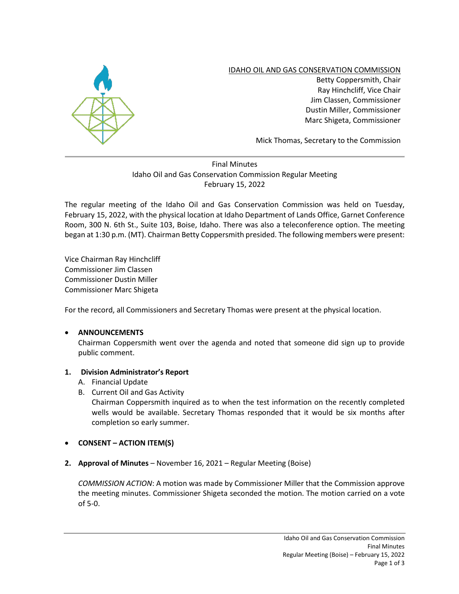

IDAHO OIL AND GAS CONSERVATION COMMISSION

Betty Coppersmith, Chair Ray Hinchcliff, Vice Chair Jim Classen, Commissioner Dustin Miller, Commissioner Marc Shigeta, Commissioner

Mick Thomas, Secretary to the Commission

# Final Minutes Idaho Oil and Gas Conservation Commission Regular Meeting February 15, 2022

The regular meeting of the Idaho Oil and Gas Conservation Commission was held on Tuesday, February 15, 2022, with the physical location at Idaho Department of Lands Office, Garnet Conference Room, 300 N. 6th St., Suite 103, Boise, Idaho. There was also a teleconference option. The meeting began at 1:30 p.m. (MT). Chairman Betty Coppersmith presided. The following members were present:

Vice Chairman Ray Hinchcliff Commissioner Jim Classen Commissioner Dustin Miller Commissioner Marc Shigeta

For the record, all Commissioners and Secretary Thomas were present at the physical location.

## • **ANNOUNCEMENTS**

Chairman Coppersmith went over the agenda and noted that someone did sign up to provide public comment.

## **1. Division Administrator's Report**

- A. Financial Update
- B. Current Oil and Gas Activity

Chairman Coppersmith inquired as to when the test information on the recently completed wells would be available. Secretary Thomas responded that it would be six months after completion so early summer.

## • **CONSENT – ACTION ITEM(S)**

**2. Approval of Minutes** – November 16, 2021 – Regular Meeting (Boise)

*COMMISSION ACTION*: A motion was made by Commissioner Miller that the Commission approve the meeting minutes. Commissioner Shigeta seconded the motion. The motion carried on a vote of 5-0.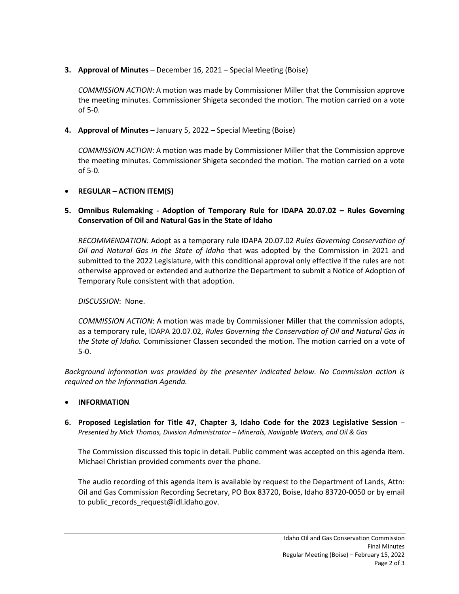**3. Approval of Minutes** – December 16, 2021 – Special Meeting (Boise)

*COMMISSION ACTION*: A motion was made by Commissioner Miller that the Commission approve the meeting minutes. Commissioner Shigeta seconded the motion. The motion carried on a vote of 5-0.

**4. Approval of Minutes** – January 5, 2022 – Special Meeting (Boise)

*COMMISSION ACTION*: A motion was made by Commissioner Miller that the Commission approve the meeting minutes. Commissioner Shigeta seconded the motion. The motion carried on a vote of 5-0.

#### • **REGULAR – ACTION ITEM(S)**

## **5. Omnibus Rulemaking - Adoption of Temporary Rule for IDAPA 20.07.02 – Rules Governing Conservation of Oil and Natural Gas in the State of Idaho**

*RECOMMENDATION:* Adopt as a temporary rule IDAPA 20.07.02 *Rules Governing Conservation of Oil and Natural Gas in the State of Idaho* that was adopted by the Commission in 2021 and submitted to the 2022 Legislature, with this conditional approval only effective if the rules are not otherwise approved or extended and authorize the Department to submit a Notice of Adoption of Temporary Rule consistent with that adoption.

### *DISCUSSION*: None.

*COMMISSION ACTION*: A motion was made by Commissioner Miller that the commission adopts, as a temporary rule, IDAPA 20.07.02, *Rules Governing the Conservation of Oil and Natural Gas in the State of Idaho.* Commissioner Classen seconded the motion. The motion carried on a vote of 5-0.

*Background information was provided by the presenter indicated below. No Commission action is required on the Information Agenda.* 

#### • **INFORMATION**

**6. Proposed Legislation for Title 47, Chapter 3, Idaho Code for the 2023 Legislative Session** – *Presented by Mick Thomas, Division Administrator – Minerals, Navigable Waters, and Oil & Gas*

The Commission discussed this topic in detail. Public comment was accepted on this agenda item. Michael Christian provided comments over the phone.

The audio recording of this agenda item is available by request to the Department of Lands, Attn: Oil and Gas Commission Recording Secretary, PO Box 83720, Boise, Idaho 83720-0050 or by email to public records request@idl.idaho.gov.